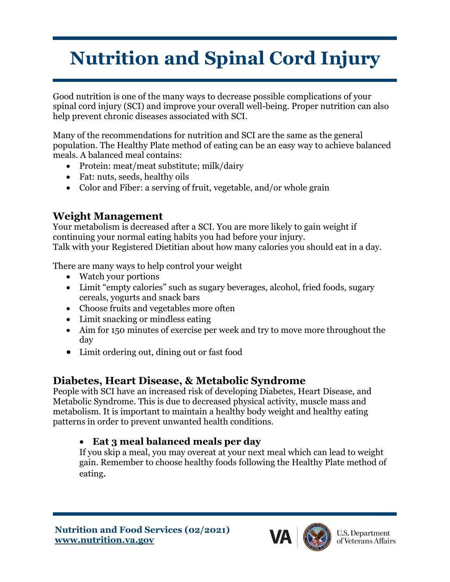# **Nutrition and Spinal Cord Injury**

Good nutrition is one of the many ways to decrease possible complications of your spinal cord injury (SCI) and improve your overall well-being. Proper nutrition can also help prevent chronic diseases associated with SCI.

Many of the recommendations for nutrition and SCI are the same as the general population. The Healthy Plate method of eating can be an easy way to achieve balanced meals. A balanced meal contains:

- Protein: meat/meat substitute; milk/dairy
- Fat: nuts, seeds, healthy oils
- Color and Fiber: a serving of fruit, vegetable, and/or whole grain

## **Weight Management**

Your metabolism is decreased after a SCI. You are more likely to gain weight if continuing your normal eating habits you had before your injury. Talk with your Registered Dietitian about how many calories you should eat in a day.

There are many ways to help control your weight

- Watch your portions
- Limit "empty calories" such as sugary beverages, alcohol, fried foods, sugary cereals, yogurts and snack bars
- Choose fruits and vegetables more often
- Limit snacking or mindless eating
- Aim for 150 minutes of exercise per week and try to move more throughout the day
- Limit ordering out, dining out or fast food

## **Diabetes, Heart Disease, & Metabolic Syndrome**

People with SCI have an increased risk of developing Diabetes, Heart Disease, and Metabolic Syndrome. This is due to decreased physical activity, muscle mass and metabolism. It is important to maintain a healthy body weight and healthy eating patterns in order to prevent unwanted health conditions.

## • **Eat 3 meal balanced meals per day**

If you skip a meal, you may overeat at your next meal which can lead to weight gain. Remember to choose healthy foods following the Healthy Plate method of eating.

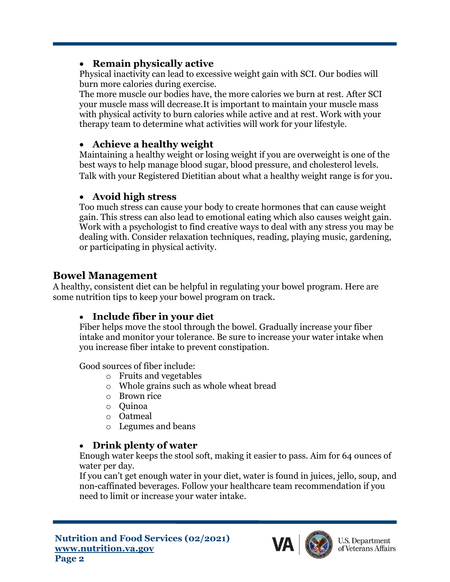## • **Remain physically active**

Physical inactivity can lead to excessive weight gain with SCI. Our bodies will burn more calories during exercise.

The more muscle our bodies have, the more calories we burn at rest. After SCI your muscle mass will decrease.It is important to maintain your muscle mass with physical activity to burn calories while active and at rest. Work with your therapy team to determine what activities will work for your lifestyle.

#### • **Achieve a healthy weight**

Maintaining a healthy weight or losing weight if you are overweight is one of the best ways to help manage blood sugar, blood pressure, and cholesterol levels. Talk with your Registered Dietitian about what a healthy weight range is for you.

#### • **Avoid high stress**

Too much stress can cause your body to create hormones that can cause weight gain. This stress can also lead to emotional eating which also causes weight gain. Work with a psychologist to find creative ways to deal with any stress you may be dealing with. Consider relaxation techniques, reading, playing music, gardening, or participating in physical activity.

## **Bowel Management**

A healthy, consistent diet can be helpful in regulating your bowel program. Here are some nutrition tips to keep your bowel program on track.

## • **Include fiber in your diet**

Fiber helps move the stool through the bowel. Gradually increase your fiber intake and monitor your tolerance. Be sure to increase your water intake when you increase fiber intake to prevent constipation.

Good sources of fiber include:

- o Fruits and vegetables
- o Whole grains such as whole wheat bread
- o Brown rice
- o Quinoa
- o Oatmeal
- o Legumes and beans

## • **Drink plenty of water**

Enough water keeps the stool soft, making it easier to pass. Aim for 64 ounces of water per day.

If you can't get enough water in your diet, water is found in juices, jello, soup, and non-caffinated beverages. Follow your healthcare team recommendation if you need to limit or increase your water intake.

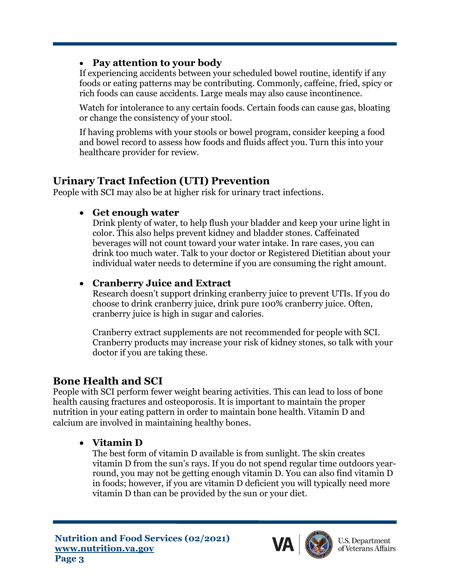#### • **Pay attention to your body**

If experiencing accidents between your scheduled bowel routine, identify if any foods or eating patterns may be contributing. Commonly, caffeine, fried, spicy or rich foods can cause accidents. Large meals may also cause incontinence.

Watch for intolerance to any certain foods. Certain foods can cause gas, bloating or change the consistency of your stool.

If having problems with your stools or bowel program, consider keeping a food and bowel record to assess how foods and fluids affect you. Turn this into your healthcare provider for review.

## **Urinary Tract Infection (UTI) Prevention**

People with SCI may also be at higher risk for urinary tract infections.

## • **Get enough water**

Drink plenty of water, to help flush your bladder and keep your urine light in color. This also helps prevent kidney and bladder stones. Caffeinated beverages will not count toward your water intake. In rare cases, you can drink too much water. Talk to your doctor or Registered Dietitian about your individual water needs to determine if you are consuming the right amount.

## • **Cranberry Juice and Extract**

Research doesn't support drinking cranberry juice to prevent UTIs. If you do choose to drink cranberry juice, drink pure 100% cranberry juice. Often, cranberry juice is high in sugar and calories.

Cranberry extract supplements are not recommended for people with SCI. Cranberry products may increase your risk of kidney stones, so talk with your doctor if you are taking these.

# **Bone Health and SCI**

People with SCI perform fewer weight bearing activities. This can lead to loss of bone health causing fractures and osteoporosis. It is important to maintain the proper nutrition in your eating pattern in order to maintain bone health. Vitamin D and calcium are involved in maintaining healthy bones.

## • **Vitamin D**

The best form of vitamin D available is from sunlight. The skin creates vitamin D from the sun's rays. If you do not spend regular time outdoors yearround, you may not be getting enough vitamin D. You can also find vitamin D in foods; however, if you are vitamin D deficient you will typically need more vitamin D than can be provided by the sun or your diet.



**U.S. Department** of Veterans Affairs